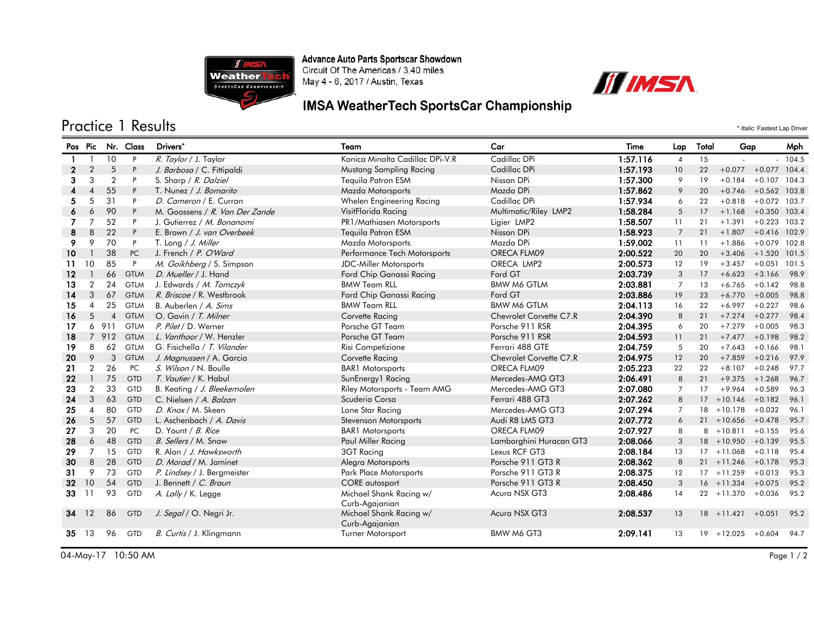

Advance Auto Parts Sportscar Showdown<br>Circuit Of The Americas / 3.40 miles May 4 - 6, 2017 / Austin, Texas

## IMSA WeatherTech SportsCar Championship



|                         | <b>Practice 1 Results</b><br>* Italic: Fastest Lap Driver |                |             |                                |                                           |                         |          |                |       |                            |                        |          |
|-------------------------|-----------------------------------------------------------|----------------|-------------|--------------------------------|-------------------------------------------|-------------------------|----------|----------------|-------|----------------------------|------------------------|----------|
|                         | Pos Pic                                                   |                | Nr. Class   | Drivers*                       | Team                                      | Car                     | Time     | Lap            | Total | Gap                        |                        | Mph      |
| -1                      |                                                           | 10             | P           | R. Taylor / J. Taylor          | Konica Minolta Cadillac DPi-V.R           | Cadillac DPi            | 1:57.116 | $\overline{4}$ | 15    |                            |                        | $-104.5$ |
| $\mathbf{2}$            | $\overline{2}$                                            | 5              | P           | J. Barbosa / C. Fittipaldi     | Mustang Sampling Racing                   | Cadillac DPi            | 1:57.193 | 10             | 22    | $+0.077$                   | $+0.077$               | 104.4    |
| 3                       | 3                                                         | $\overline{2}$ | P           | S. Sharp / R. Dalziel          | Tequila Patron ESM                        | Nissan DPi              | 1:57.300 | 9              | 19    | $+0.184$                   | $+0.107$               | 104.3    |
| $\overline{\mathbf{4}}$ | $\overline{4}$                                            | 55             | P           | T. Nunez / J. Bomarito         | Mazda Motorsports                         | Mazda DPi               | 1:57.862 | 9              | 20    |                            | $+0.746 + 0.562$ 103.8 |          |
| 5                       | 5                                                         | 31             | P           | D. Cameron / E. Curran         | Whelen Engineering Racing                 | Cadillac DPi            | 1:57.934 | 6              | 22    | $+0.818$                   | $+0.072$ 103.7         |          |
| 6                       | 6                                                         | 90             | P           | M. Goossens / R. Van Der Zande | VisitFlorida Racing                       | Multimatic/Riley LMP2   | 1:58.284 | 5              | 17    | $+1.168$                   | $+0.350$ 103.4         |          |
| 7                       | $\overline{7}$                                            | 52             | P           | J. Gutierrez / M. Bonanomi     | PR1/Mathiasen Motorsports                 | Ligier LMP2             | 1:58.507 | 11             | 21    | $+1.391$                   | $+0.223$ 103.2         |          |
| 8                       | 8                                                         | 22             | P           | E. Brown / J. van Overbeek     | <b>Tequila Patron ESM</b>                 | Nissan DPi              | 1:58.923 | $\overline{7}$ | 21    | $+1.807$                   | $+0.416$ 102.9         |          |
| 9                       | 9                                                         | 70             | P           | T. Long / J. Miller            | Mazda Motorsports                         | Mazda DPi               | 1:59.002 | 11             | 11    | $+1.886$                   | $+0.079$ 102.8         |          |
| 10                      | $\mathbf{1}$                                              | 38             | PC          | J. French / P. O'Ward          | Performance Tech Motorsports              | ORECA FLM09             | 2:00.522 | 20             | 20    |                            | $+3.406 + 1.520$       | 101.5    |
| 11                      | 10                                                        | 85             | P           | M. Goikhberg / S. Simpson      | <b>JDC-Miller Motorsports</b>             | ORECA LMP2              | 2:00.573 | 12             | 19    | $+3.457$                   | $+0.051$               | 101.5    |
| 12                      |                                                           | 66             | <b>GTLM</b> | D. Mueller / J. Hand           | Ford Chip Ganassi Racing                  | Ford GT                 | 2:03.739 | 3              | 17    |                            | $+6.623 +3.166$        | 98.9     |
| 13                      | $\overline{2}$                                            | 24             | <b>GTLM</b> | J. Edwards / M. Tomczyk        | <b>BMW Team RLL</b>                       | <b>BMW M6 GTLM</b>      | 2:03.881 | $\overline{7}$ | 13    | $+6.765$                   | $+0.142$               | 98.8     |
| 14                      | 3                                                         | 67             | <b>GTLM</b> | R. Briscoe / R. Westbrook      | Ford Chip Ganassi Racing                  | Ford GT                 | 2:03.886 | 19             | 23    | $+6.770$                   | $+0.005$               | 98.8     |
| 15                      | $\overline{4}$                                            | 25             | <b>GTLM</b> | B. Auberlen / A. Sims          | <b>BMW Team RLL</b>                       | <b>BMW M6 GTLM</b>      | 2:04.113 | 16             | 22    | $+6.997$                   | $+0.227$               | 98.6     |
| 16                      | 5                                                         | $\overline{4}$ | <b>GTLM</b> | O. Gavin / T. Milner           | Corvette Racing                           | Chevrolet Corvette C7.R | 2:04.390 | 8              | 21    | $+7.274$                   | $+0.277$               | 98.4     |
| 17                      | 6                                                         | 911            | <b>GTLM</b> | P. Pilet / D. Werner           | Porsche GT Team                           | Porsche 911 RSR         | 2:04.395 | 6              | 20    | $+7.279$                   | $+0.005$               | 98.3     |
| 18                      |                                                           | 7 912          | <b>GTLM</b> | L. Vanthoor / W. Henzler       | Porsche GT Team                           | Porsche 911 RSR         | 2:04.593 | 11             | 21    | $+7.477$                   | $+0.198$               | 98.2     |
| 19                      | 8                                                         | 62             | <b>GTLM</b> | G. Fisichella / T. Vilander    | Risi Competizione                         | Ferrari 488 GTE         | 2:04.759 | 5              | 20    | $+7.643$                   | $+0.166$               | 98.1     |
| 20                      | 9                                                         | 3              | <b>GTLM</b> | J. Magnussen / A. Garcia       | Corvette Racing                           | Chevrolet Corvette C7.R | 2:04.975 | 12             | 20    | $+7.859$                   | $+0.216$               | 97.9     |
| 21                      | $\overline{2}$                                            | 26             | PC          | S. Wilson / N. Boulle          | <b>BAR1</b> Motorsports                   | ORECA FLM09             | 2:05.223 | 22             | 22    | $+8.107$                   | $+0.248$               | 97.7     |
| 22                      | $\mathbf{1}$                                              | 75             | <b>GTD</b>  | T. Vautier / K. Habul          | SunEnergy1 Racing                         | Mercedes-AMG GT3        | 2:06.491 | 8              | 21    | $+9.375$                   | $+1.268$               | 96.7     |
| 23                      | $\overline{2}$                                            | 33             | GTD         | B. Keating / J. Bleekemolen    | Riley Motorsports - Team AMG              | Mercedes-AMG GT3        | 2:07.080 | $\overline{7}$ | 17    | $+9.964$                   | $+0.589$               | 96.3     |
| 24                      | 3                                                         | 63             | <b>GTD</b>  | C. Nielsen / A. Balzan         | Scuderia Corsa                            | Ferrari 488 GT3         | 2:07.262 | 8              |       | $17 + 10.146 + 0.182$      |                        | 96.1     |
| 25                      | $\overline{4}$                                            | 80             | <b>GTD</b>  | D. Knox / M. Skeen             | Lone Star Racing                          | Mercedes-AMG GT3        | 2:07.294 | $\overline{7}$ |       | $18 + 10.178$              | $+0.032$               | 96.1     |
| 26                      | 5                                                         | 57             | <b>GTD</b>  | L. Aschenbach / A. Davis       | Stevenson Motorsports                     | Audi R8 LMS GT3         | 2:07.772 | 6              |       | $21 + 10.656$              | $+0.478$               | 95.7     |
| 27                      | 3                                                         | 20             | PC          | D. Yount / B. Rice             | <b>BAR1</b> Motorsports                   | ORECA FLM09             | 2:07.927 | 8              |       | $8 + 10.811$               | $+0.155$               | 95.6     |
| 28                      | 6                                                         | 48             | <b>GTD</b>  | B. Sellers / M. Snow           | Paul Miller Racing                        | Lamborghini Huracan GT3 | 2:08.066 | 3              |       | $18 + 10.950$              | $+0.139$               | 95.5     |
| 29                      | $\overline{7}$                                            | 15             | <b>GTD</b>  | R. Alon / J. Hawksworth        | 3GT Racing                                | Lexus RCF GT3           | 2:08.184 | 13             |       | $17 + 11.068$              | $+0.118$               | 95.4     |
| 30                      | 8                                                         | 28             | <b>GTD</b>  | D. Morad / M. Jaminet          | Alegra Motorsports                        | Porsche 911 GT3 R       | 2:08.362 | 8              |       | $21 + 11.246$              | $+0.178$               | 95.3     |
| 31                      | 9                                                         | 73             | <b>GTD</b>  | P. Lindsey / J. Bergmeister    | Park Place Motorsports                    | Porsche 911 GT3 R       | 2:08.375 | 12             |       | $17 + 11.259$              | $+0.013$               | 95.3     |
| 32                      | 10                                                        | 54             | <b>GTD</b>  | J. Bennett / C. Braun          | <b>CORE</b> autosport                     | Porsche 911 GT3 R       | 2:08.450 | 3              |       | $16 + 11.334$              | $+0.075$               | 95.2     |
| 33                      | 11                                                        | 93             | <b>GTD</b>  | A. Lally / K. Legge            | Michael Shank Racing w/<br>Curb-Agajanian | Acura NSX GT3           | 2:08.486 | 14             |       | $22 + 11.370$              | $+0.036$               | 95.2     |
| 34                      | 12                                                        | 86             | <b>GTD</b>  | J. Segal / O. Negri Jr.        | Michael Shank Racing w/<br>Curb-Agajanian | Acura NSX GT3           | 2:08.537 | 13             |       | $18 + 11.421$              | $+0.051$               | 95.2     |
| 35                      | - 13                                                      | 96             | <b>GTD</b>  | B. Curtis / J. Klingmann       | <b>Turner Motorsport</b>                  | BMW M6 GT3              | 2:09.141 | 13             |       | $19 + 12.025 + 0.604$ 94.7 |                        |          |

04-May-17 10:50 AM Page 1 / 2

**III IMSA**